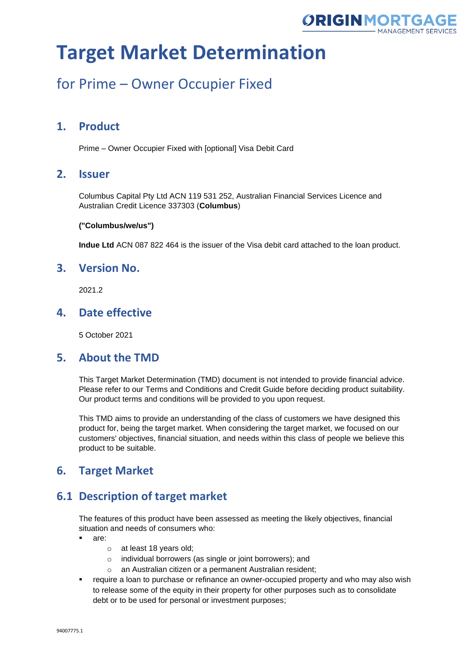

## for Prime – Owner Occupier Fixed

### **1. Product**

Prime – Owner Occupier Fixed with [optional] Visa Debit Card

### **2. Issuer**

Columbus Capital Pty Ltd ACN 119 531 252, Australian Financial Services Licence and Australian Credit Licence 337303 (**Columbus**)

#### **("Columbus/we/us")**

**Indue Ltd** ACN 087 822 464 is the issuer of the Visa debit card attached to the loan product.

### **3. Version No.**

2021.2

### **4. Date effective**

5 October 2021

#### **5. About the TMD**

This Target Market Determination (TMD) document is not intended to provide financial advice. Please refer to our Terms and Conditions and Credit Guide before deciding product suitability. Our product terms and conditions will be provided to you upon request.

This TMD aims to provide an understanding of the class of customers we have designed this product for, being the target market. When considering the target market, we focused on our customers' objectives, financial situation, and needs within this class of people we believe this product to be suitable.

### **6. Target Market**

### **6.1 Description of target market**

The features of this product have been assessed as meeting the likely objectives, financial situation and needs of consumers who:

- are:
	- o at least 18 years old;
	- o individual borrowers (as single or joint borrowers); and
	- o an Australian citizen or a permanent Australian resident;
- **•** require a loan to purchase or refinance an owner-occupied property and who may also wish to release some of the equity in their property for other purposes such as to consolidate debt or to be used for personal or investment purposes;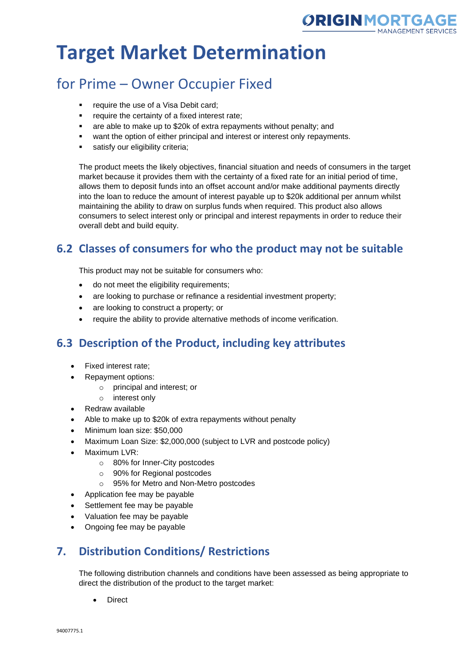

# for Prime – Owner Occupier Fixed

- require the use of a Visa Debit card;
- require the certainty of a fixed interest rate;
- are able to make up to \$20k of extra repayments without penalty; and
- want the option of either principal and interest or interest only repayments.
- **■** satisfy our eligibility criteria;

The product meets the likely objectives, financial situation and needs of consumers in the target market because it provides them with the certainty of a fixed rate for an initial period of time, allows them to deposit funds into an offset account and/or make additional payments directly into the loan to reduce the amount of interest payable up to \$20k additional per annum whilst maintaining the ability to draw on surplus funds when required. This product also allows consumers to select interest only or principal and interest repayments in order to reduce their overall debt and build equity.

## **6.2 Classes of consumers for who the product may not be suitable**

This product may not be suitable for consumers who:

- do not meet the eligibility requirements;
- are looking to purchase or refinance a residential investment property;
- are looking to construct a property; or
- require the ability to provide alternative methods of income verification.

## **6.3 Description of the Product, including key attributes**

- Fixed interest rate;
- Repayment options:
	- o principal and interest; or
	- o interest only
- Redraw available
- Able to make up to \$20k of extra repayments without penalty
- Minimum loan size: \$50,000
- Maximum Loan Size: \$2,000,000 (subject to LVR and postcode policy)
- Maximum LVR:
	- o 80% for Inner-City postcodes
	- o 90% for Regional postcodes
	- o 95% for Metro and Non-Metro postcodes
- Application fee may be payable
- Settlement fee may be payable
- Valuation fee may be payable
- Ongoing fee may be payable

## **7. Distribution Conditions/ Restrictions**

The following distribution channels and conditions have been assessed as being appropriate to direct the distribution of the product to the target market:

**Direct**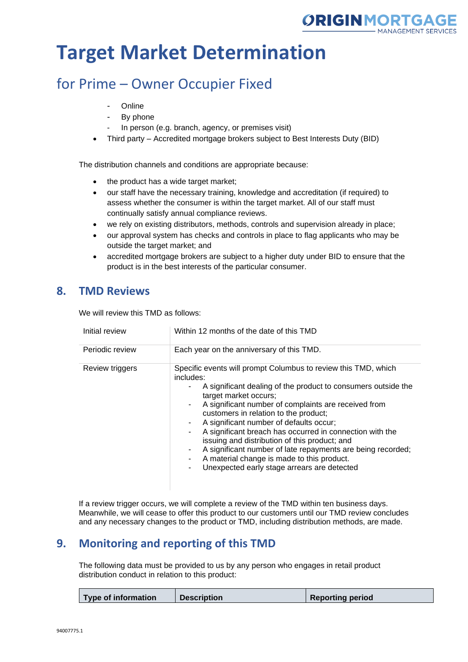

# for Prime – Owner Occupier Fixed

- **Online**
- By phone
- In person (e.g. branch, agency, or premises visit)
- Third party Accredited mortgage brokers subject to Best Interests Duty (BID)

The distribution channels and conditions are appropriate because:

- the product has a wide target market;
- our staff have the necessary training, knowledge and accreditation (if required) to assess whether the consumer is within the target market. All of our staff must continually satisfy annual compliance reviews.
- we rely on existing distributors, methods, controls and supervision already in place;
- our approval system has checks and controls in place to flag applicants who may be outside the target market; and
- accredited mortgage brokers are subject to a higher duty under BID to ensure that the product is in the best interests of the particular consumer.

### **8. TMD Reviews**

We will review this TMD as follows:

| Initial review  | Within 12 months of the date of this TMD                                                                                                                                                                                                                                                                                                                                                                                                                                                                                                                                                   |
|-----------------|--------------------------------------------------------------------------------------------------------------------------------------------------------------------------------------------------------------------------------------------------------------------------------------------------------------------------------------------------------------------------------------------------------------------------------------------------------------------------------------------------------------------------------------------------------------------------------------------|
| Periodic review | Each year on the anniversary of this TMD.                                                                                                                                                                                                                                                                                                                                                                                                                                                                                                                                                  |
| Review triggers | Specific events will prompt Columbus to review this TMD, which<br>includes:<br>A significant dealing of the product to consumers outside the<br>target market occurs;<br>A significant number of complaints are received from<br>customers in relation to the product;<br>A significant number of defaults occur;<br>A significant breach has occurred in connection with the<br>issuing and distribution of this product; and<br>A significant number of late repayments are being recorded;<br>A material change is made to this product.<br>Unexpected early stage arrears are detected |

If a review trigger occurs, we will complete a review of the TMD within ten business days. Meanwhile, we will cease to offer this product to our customers until our TMD review concludes and any necessary changes to the product or TMD, including distribution methods, are made.

### **9. Monitoring and reporting of this TMD**

The following data must be provided to us by any person who engages in retail product distribution conduct in relation to this product:

|  | Type of information | <b>Description</b> | <b>Reporting period</b> |
|--|---------------------|--------------------|-------------------------|
|--|---------------------|--------------------|-------------------------|